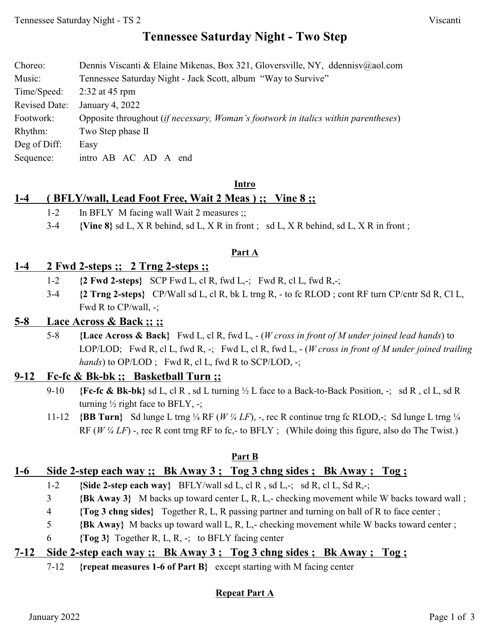# **Tennessee Saturday Night - Two Step**

| Choreo:              | Dennis Viscanti & Elaine Mikenas, Box 321, Gloversville, NY, ddennisv@aol.com             |
|----------------------|-------------------------------------------------------------------------------------------|
| Music:               | Tennessee Saturday Night - Jack Scott, album "Way to Survive"                             |
| Time/Speed:          | $2:32$ at 45 rpm                                                                          |
| <b>Revised Date:</b> | January 4, 2022                                                                           |
| Footwork:            | Opposite throughout <i>(if necessary, Woman's footwork in italics within parentheses)</i> |
| Rhythm:              | Two Step phase II                                                                         |
| Deg of Diff:         | Easy                                                                                      |
| Sequence:            | intro AB AC AD A end                                                                      |

#### **Intro**

### **1-4 ( BFLY/wall, Lead Foot Free, Wait 2 Meas ) ;; Vine 8 ;;**

- 1-2 In BFLY M facing wall Wait 2 measures ;;
- 3-4 **{Vine 8}** sd L, X R behind, sd L, X R in front ; sd L, X R behind, sd L, X R in front ;

#### **Part A**

### **1-4 2 Fwd 2-steps ;; 2 Trng 2-steps ;;**

- 1-2 **{2 Fwd 2-steps}** SCP Fwd L, cl R, fwd L,-; Fwd R, cl L, fwd R,-;
- 3-4 **{2 Trng 2-steps}** CP/Wall sd L, cl R, bk L trng R, to fc RLOD ; cont RF turn CP/cntr Sd R, Cl L, Fwd R to CP/wall, -;

### **5-8 Lace Across & Back ;; ;;**

5-8 **{Lace Across & Back}** Fwd L, cl R, fwd L, - (*W cross in front of M under joined lead hands*) to LOP/LOD; Fwd R, cl L, fwd R, -; Fwd L, cl R, fwd L, - (*W cross in front of M under joined trailing hands*) to OP/LOD; Fwd R, cl L, fwd R to SCP/LOD, -;

### **9-12 Fc-fc & Bk-bk ;; Basketball Turn ;;**

- 9-10 **{Fc-fc & Bk-bk}** sd L, cl R , sd L turning ½ L face to a Back-to-Back Position, -; sd R , cl L, sd R turning  $\frac{1}{2}$  right face to BFLY, -;
- 11-12 **{BB Turn}** Sd lunge L trng ¼ RF (*W ¼ LF*), -, rec R continue trng fc RLOD,-; Sd lunge L trng ¼ RF (*W <sup>1</sup>/4 LF*) -, rec R cont trng RF to fc,- to BFLY ; (While doing this figure, also do The Twist.)

#### **Part B**

### **1-6 Side 2-step each way ;; Bk Away 3 ; Tog 3 chng sides ; Bk Away ; Tog ;**

- 1-2 **{Side 2-step each way}** BFLY/wall sd L, cl R , sd L,-; sd R, cl L, Sd R,-;
- 3 **{Bk Away 3}** M backs up toward center L, R, L,- checking movement while W backs toward wall ;
- 4 **{Tog 3 chng sides}** Together R, L, R passing partner and turning on ball of R to face center ;
- 5 **{Bk Away}** M backs up toward wall L, R, L,- checking movement while W backs toward center ;
- 6 **{Tog 3}** Together R, L, R, -; to BFLY facing center

### **7-12 Side 2-step each way ;; Bk Away 3 ; Tog 3 chng sides ; Bk Away ; Tog ;**

7-12 **{repeat measures 1-6 of Part B}** except starting with M facing center

### **Repeat Part A**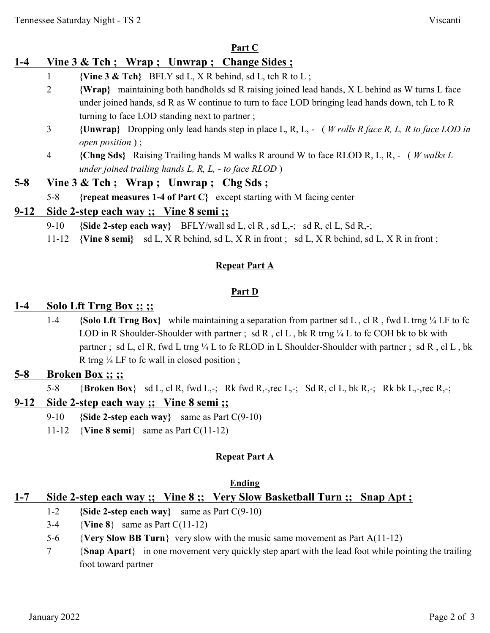### **Part C**

# **1-4 Vine 3 & Tch ; Wrap ; Unwrap ; Change Sides ;**

- 1 **{Vine 3 & Tch}** BFLY sd L, X R behind, sd L, tch R to L ;
- 2 **{Wrap}** maintaining both handholds sd R raising joined lead hands, X L behind as W turns L face under joined hands, sd R as W continue to turn to face LOD bringing lead hands down, tch L to R turning to face LOD standing next to partner ;
- 3 **{Unwrap}** Dropping only lead hands step in place L, R, L, ( *W rolls R face R, L, R to face LOD in open position* ) ;
- 4 **{Chng Sds}** Raising Trailing hands M walks R around W to face RLOD R, L, R, ( *W walks L under joined trailing hands L, R, L, - to face RLOD* )

## **5-8 Vine 3 & Tch ; Wrap ; Unwrap ; Chg Sds ;**

5-8 **{repeat measures 1-4 of Part C}** except starting with M facing center

## **9-12 Side 2-step each way ;; Vine 8 semi ;;**

- 9-10 **{Side 2-step each way}** BFLY/wall sd L, cl R , sd L,-; sd R, cl L, Sd R,-;
- 11-12 **{Vine 8 semi}** sd L, X R behind, sd L, X R in front ; sd L, X R behind, sd L, X R in front ;

### **Repeat Part A**

### **Part D**

## **1-4 Solo Lft Trng Box ;; ;;**

1-4 **{Solo Lft Trng Box}** while maintaining a separation from partner sd L , cl R , fwd L trng ¼ LF to fc LOD in R Shoulder-Shoulder with partner; sd R, cl L, bk R trng  $\frac{1}{4}$  L to fc COH bk to bk with partner; sd L, cl R, fwd L trng ¼ L to fc RLOD in L Shoulder-Shoulder with partner; sd R, cl L, bk R trng  $\frac{1}{4}$  LF to fc wall in closed position;

## **5-8 Broken Box ;; ;;**

5-8 {**Broken Box**} sd L, cl R, fwd L,-; Rk fwd R,-,rec L,-; Sd R, cl L, bk R,-; Rk bk L,-,rec R,-;

## **9-12 Side 2-step each way ;; Vine 8 semi ;;**

- 9-10 **{Side 2-step each way}** same as Part C(9-10)
- 11-12 {**Vine 8 semi**} same as Part C(11-12)

### **Repeat Part A**

### **Ending**

# **1-7 Side 2-step each way ;; Vine 8 ;; Very Slow Basketball Turn ;; Snap Apt ;**

- 1-2 **{Side 2-step each way}** same as Part C(9-10)
- 3-4 {**Vine 8**} same as Part C(11-12)
- 5-6 {**Very Slow BB Turn**} very slow with the music same movement as Part A(11-12)
- 7 {**Snap Apart**} in one movement very quickly step apart with the lead foot while pointing the trailing foot toward partner